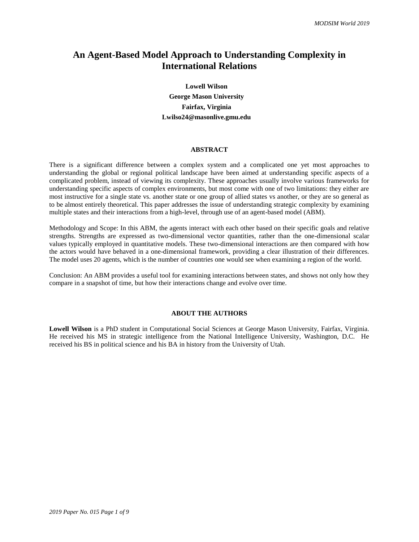## **An Agent-Based Model Approach to Understanding Complexity in International Relations**

**Lowell Wilson George Mason University Fairfax, Virginia Lwilso24@masonlive.gmu.edu**

#### **ABSTRACT**

There is a significant difference between a complex system and a complicated one yet most approaches to understanding the global or regional political landscape have been aimed at understanding specific aspects of a complicated problem, instead of viewing its complexity. These approaches usually involve various frameworks for understanding specific aspects of complex environments, but most come with one of two limitations: they either are most instructive for a single state vs. another state or one group of allied states vs another, or they are so general as to be almost entirely theoretical. This paper addresses the issue of understanding strategic complexity by examining multiple states and their interactions from a high-level, through use of an agent-based model (ABM).

Methodology and Scope: In this ABM, the agents interact with each other based on their specific goals and relative strengths. Strengths are expressed as two-dimensional vector quantities, rather than the one-dimensional scalar values typically employed in quantitative models. These two-dimensional interactions are then compared with how the actors would have behaved in a one-dimensional framework, providing a clear illustration of their differences. The model uses 20 agents, which is the number of countries one would see when examining a region of the world.

Conclusion: An ABM provides a useful tool for examining interactions between states, and shows not only how they compare in a snapshot of time, but how their interactions change and evolve over time.

#### **ABOUT THE AUTHORS**

**Lowell Wilson** is a PhD student in Computational Social Sciences at George Mason University, Fairfax, Virginia. He received his MS in strategic intelligence from the National Intelligence University, Washington, D.C. He received his BS in political science and his BA in history from the University of Utah.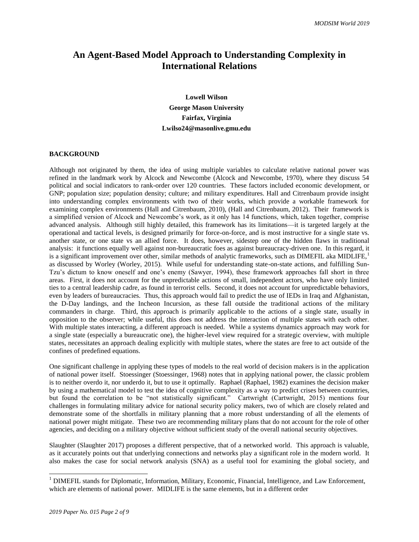# **An Agent-Based Model Approach to Understanding Complexity in International Relations**

**Lowell Wilson George Mason University Fairfax, Virginia Lwilso24@masonlive.gmu.edu**

### **BACKGROUND**

Although not originated by them, the idea of using multiple variables to calculate relative national power was refined in the landmark work by Alcock and Newcombe (Alcock and Newcombe, 1970), where they discuss 54 political and social indicators to rank-order over 120 countries. These factors included economic development, or GNP; population size; population density; culture; and military expenditures. Hall and Citrenbaum provide insight into understanding complex environments with two of their works, which provide a workable framework for examining complex environments (Hall and Citrenbaum, 2010), (Hall and Citrenbaum, 2012). Their framework is a simplified version of Alcock and Newcombe's work, as it only has 14 functions, which, taken together, comprise advanced analysis. Although still highly detailed, this framework has its limitations—it is targeted largely at the operational and tactical levels, is designed primarily for force-on-force, and is most instructive for a single state vs. another state, or one state vs an allied force. It does, however, sidestep one of the hidden flaws in traditional analysis: it functions equally well against non-bureaucratic foes as against bureaucracy-driven one. In this regard, it is a significant improvement over other, similar methods of analytic frameworks, such as DIMEFIL aka MIDLIFE.<sup>1</sup> as discussed by Worley (Worley, 2015). While useful for understanding state-on-state actions, and fulfilling Sun-Tzu's dictum to know oneself and one's enemy (Sawyer, 1994), these framework approaches fall short in three areas. First, it does not account for the unpredictable actions of small, independent actors, who have only limited ties to a central leadership cadre, as found in terrorist cells. Second, it does not account for unpredictable behaviors, even by leaders of bureaucracies. Thus, this approach would fail to predict the use of IEDs in Iraq and Afghanistan, the D-Day landings, and the Incheon Incursion, as these fall outside the traditional actions of the military commanders in charge. Third, this approach is primarily applicable to the actions of a single state, usually in opposition to the observer; while useful, this does not address the interaction of multiple states with each other. With multiple states interacting, a different approach is needed. While a systems dynamics approach may work for a single state (especially a bureaucratic one), the higher-level view required for a strategic overview, with multiple states, necessitates an approach dealing explicitly with multiple states, where the states are free to act outside of the confines of predefined equations.

One significant challenge in applying these types of models to the real world of decision makers is in the application of national power itself. Stoessinger (Stoessinger, 1968) notes that in applying national power, the classic problem is to neither overdo it, nor underdo it, but to use it optimally. Raphael (Raphael, 1982) examines the decision maker by using a mathematical model to test the idea of cognitive complexity as a way to predict crises between countries, but found the correlation to be "not statistically significant." Cartwright (Cartwright, 2015) mentions four challenges in formulating military advice for national security policy makers, two of which are closely related and demonstrate some of the shortfalls in military planning that a more robust understanding of all the elements of national power might mitigate. These two are recommending military plans that do not account for the role of other agencies, and deciding on a military objective without sufficient study of the overall national security objectives.

Slaughter (Slaughter 2017) proposes a different perspective, that of a networked world. This approach is valuable, as it accurately points out that underlying connections and networks play a significant role in the modern world. It also makes the case for social network analysis (SNA) as a useful tool for examining the global society, and

 $\overline{a}$ 

<sup>&</sup>lt;sup>1</sup> DIMEFIL stands for Diplomatic, Information, Military, Economic, Financial, Intelligence, and Law Enforcement, which are elements of national power. MIDLIFE is the same elements, but in a different order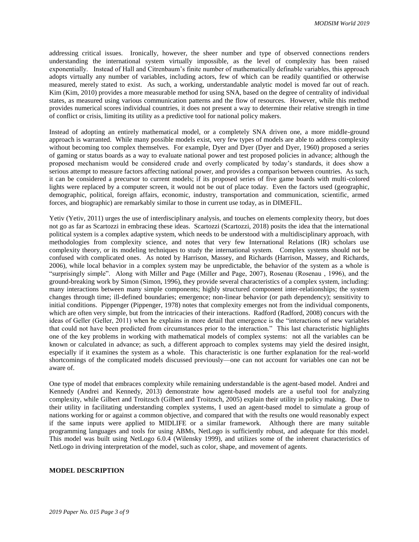addressing critical issues. Ironically, however, the sheer number and type of observed connections renders understanding the international system virtually impossible, as the level of complexity has been raised exponentially. Instead of Hall and Citrenbaum's finite number of mathematically definable variables, this approach adopts virtually any number of variables, including actors, few of which can be readily quantified or otherwise measured, merely stated to exist. As such, a working, understandable analytic model is moved far out of reach. Kim (Kim, 2010) provides a more measurable method for using SNA, based on the degree of centrality of individual states, as measured using various communication patterns and the flow of resources. However, while this method provides numerical scores individual countries, it does not present a way to determine their relative strength in time of conflict or crisis, limiting its utility as a predictive tool for national policy makers.

Instead of adopting an entirely mathematical model, or a completely SNA driven one, a more middle-ground approach is warranted. While many possible models exist, very few types of models are able to address complexity without becoming too complex themselves. For example, Dyer and Dyer (Dyer and Dyer, 1960) proposed a series of gaming or status boards as a way to evaluate national power and test proposed policies in advance; although the proposed mechanism would be considered crude and overly complicated by today's standards, it does show a serious attempt to measure factors affecting national power, and provides a comparison between countries. As such, it can be considered a precursor to current models; if its proposed series of five game boards with multi-colored lights were replaced by a computer screen, it would not be out of place today. Even the factors used (geographic, demographic, political, foreign affairs, economic, industry, transportation and communication, scientific, armed forces, and biographic) are remarkably similar to those in current use today, as in DIMEFIL.

Yetiv (Yetiv, 2011) urges the use of interdisciplinary analysis, and touches on elements complexity theory, but does not go as far as Scartozzi in embracing these ideas. Scartozzi (Scartozzi, 2018) posits the idea that the international political system is a complex adaptive system, which needs to be understood with a multidisciplinary approach, with methodologies from complexity science, and notes that very few International Relations (IR) scholars use complexity theory, or its modeling techniques to study the international system. Complex systems should not be confused with complicated ones. As noted by Harrison, Massey, and Richards (Harrison, Massey, and Richards, 2006), while local behavior in a complex system may be unpredictable, the behavior of the system as a whole is "surprisingly simple". Along with Miller and Page (Miller and Page, 2007), Rosenau (Rosenau , 1996), and the ground-breaking work by Simon (Simon, 1996), they provide several characteristics of a complex system, including: many interactions between many simple components; highly structured component inter-relationships; the system changes through time; ill-defined boundaries; emergence; non-linear behavior (or path dependency); sensitivity to initial conditions. Pippenger (Pippenger, 1978) notes that complexity emerges not from the individual components, which are often very simple, but from the intricacies of their interactions. Radford (Radford, 2008) concurs with the ideas of Geller (Geller, 2011) when he explains in more detail that emergence is the "interactions of new variables that could not have been predicted from circumstances prior to the interaction." This last characteristic highlights one of the key problems in working with mathematical models of complex systems: not all the variables can be known or calculated in advance; as such, a different approach to complex systems may yield the desired insight, especially if it examines the system as a whole. This characteristic is one further explanation for the real-world shortcomings of the complicated models discussed previously—one can not account for variables one can not be aware of.

One type of model that embraces complexity while remaining understandable is the agent-based model. Andrei and Kennedy (Andrei and Kennedy, 2013) demonstrate how agent-based models are a useful tool for analyzing complexity, while Gilbert and Troitzsch (Gilbert and Troitzsch, 2005) explain their utility in policy making. Due to their utility in facilitating understanding complex systems, I used an agent-based model to simulate a group of nations working for or against a common objective, and compared that with the results one would reasonably expect if the same inputs were applied to MIDLIFE or a similar framework. Although there are many suitable programming languages and tools for using ABMs, NetLogo is sufficiently robust, and adequate for this model. This model was built using NetLogo 6.0.4 (Wilensky 1999), and utilizes some of the inherent characteristics of NetLogo in driving interpretation of the model, such as color, shape, and movement of agents.

#### **MODEL DESCRIPTION**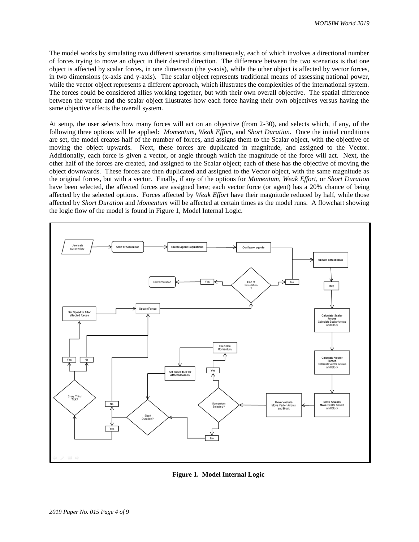The model works by simulating two different scenarios simultaneously, each of which involves a directional number of forces trying to move an object in their desired direction. The difference between the two scenarios is that one object is affected by scalar forces, in one dimension (the y-axis), while the other object is affected by vector forces, in two dimensions (x-axis and y-axis). The scalar object represents traditional means of assessing national power, while the vector object represents a different approach, which illustrates the complexities of the international system. The forces could be considered allies working together, but with their own overall objective. The spatial difference between the vector and the scalar object illustrates how each force having their own objectives versus having the same objective affects the overall system.

At setup, the user selects how many forces will act on an objective (from 2-30), and selects which, if any, of the following three options will be applied: *Momentum, Weak Effort,* and *Short Duration*. Once the initial conditions are set, the model creates half of the number of forces, and assigns them to the Scalar object, with the objective of moving the object upwards. Next, these forces are duplicated in magnitude, and assigned to the Vector. Additionally, each force is given a vector, or angle through which the magnitude of the force will act. Next, the other half of the forces are created, and assigned to the Scalar object; each of these has the objective of moving the object downwards. These forces are then duplicated and assigned to the Vector object, with the same magnitude as the original forces, but with a vector. Finally, if any of the options for *Momentum*, *Weak Effort*, or *Short Duration* have been selected, the affected forces are assigned here; each vector force (or agent) has a 20% chance of being affected by the selected options. Forces affected by *Weak Effort* have their magnitude reduced by half, while those affected by *Short Duration* and *Momentum* will be affected at certain times as the model runs. A flowchart showing the logic flow of the model is found in Figure 1, Model Internal Logic.



**Figure 1. Model Internal Logic**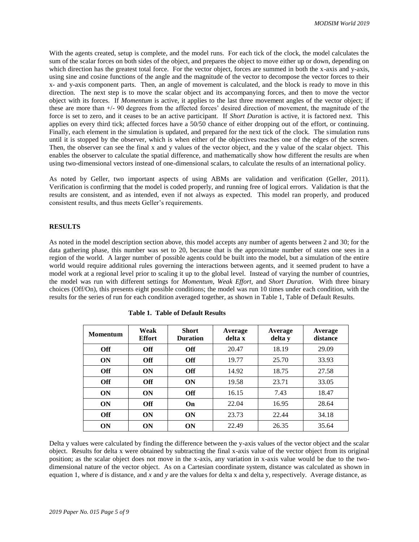With the agents created, setup is complete, and the model runs. For each tick of the clock, the model calculates the sum of the scalar forces on both sides of the object, and prepares the object to move either up or down, depending on which direction has the greatest total force. For the vector object, forces are summed in both the x-axis and y-axis, using sine and cosine functions of the angle and the magnitude of the vector to decompose the vector forces to their x- and y-axis component parts. Then, an angle of movement is calculated, and the block is ready to move in this direction. The next step is to move the scalar object and its accompanying forces, and then to move the vector object with its forces. If *Momentum* is active, it applies to the last three movement angles of the vector object; if these are more than +/- 90 degrees from the affected forces' desired direction of movement, the magnitude of the force is set to zero, and it ceases to be an active participant. If *Short Duration* is active, it is factored next. This applies on every third tick; affected forces have a 50/50 chance of either dropping out of the effort, or continuing. Finally, each element in the simulation is updated, and prepared for the next tick of the clock. The simulation runs until it is stopped by the observer, which is when either of the objectives reaches one of the edges of the screen. Then, the observer can see the final x and y values of the vector object, and the y value of the scalar object. This enables the observer to calculate the spatial difference, and mathematically show how different the results are when using two-dimensional vectors instead of one-dimensional scalars, to calculate the results of an international policy.

As noted by Geller, two important aspects of using ABMs are validation and verification (Geller, 2011). Verification is confirming that the model is coded properly, and running free of logical errors. Validation is that the results are consistent, and as intended, even if not always as expected. This model ran properly, and produced consistent results, and thus meets Geller's requirements.

#### **RESULTS**

As noted in the model description section above, this model accepts any number of agents between 2 and 30; for the data gathering phase, this number was set to 20, because that is the approximate number of states one sees in a region of the world. A larger number of possible agents could be built into the model, but a simulation of the entire world would require additional rules governing the interactions between agents, and it seemed prudent to have a model work at a regional level prior to scaling it up to the global level. Instead of varying the number of countries, the model was run with different settings for *Momentum, Weak Effort,* and *Short Duration*. With three binary choices (Off/On), this presents eight possible conditions; the model was run 10 times under each condition, with the results for the series of run for each condition averaged together, as shown in Table 1, Table of Default Results.

| <b>Momentum</b> | Weak<br><b>Effort</b> | <b>Short</b><br><b>Duration</b> | Average<br>delta x | Average<br>delta y | Average<br>distance |
|-----------------|-----------------------|---------------------------------|--------------------|--------------------|---------------------|
| <b>Off</b>      | <b>Off</b>            | <b>Off</b>                      | 20.47              | 18.19              | 29.09               |
| ON              | <b>Off</b>            | <b>Off</b>                      | 19.77              | 25.70              | 33.93               |
| <b>Off</b>      | ON                    | <b>Off</b>                      | 14.92              | 18.75              | 27.58               |
| <b>Off</b>      | Off                   | <b>ON</b>                       | 19.58              | 23.71              | 33.05               |
| <b>ON</b>       | ON                    | <b>Off</b>                      | 16.15              | 7.43               | 18.47               |
| <b>ON</b>       | <b>Off</b>            | On                              | 22.04              | 16.95              | 28.64               |
| <b>Off</b>      | ON                    | <b>ON</b>                       | 23.73              | 22.44              | 34.18               |
| <b>ON</b>       | <b>ON</b>             | <b>ON</b>                       | 22.49              | 26.35              | 35.64               |

| <b>Table 1. Table of Default Results</b> |
|------------------------------------------|
|------------------------------------------|

Delta y values were calculated by finding the difference between the y-axis values of the vector object and the scalar object. Results for delta x were obtained by subtracting the final x-axis value of the vector object from its original position; as the scalar object does not move in the x-axis, any variation in x-axis value would be due to the twodimensional nature of the vector object. As on a Cartesian coordinate system, distance was calculated as shown in equation 1, where *d* is distance, and *x* and *y* are the values for delta x and delta y, respectively. Average distance, as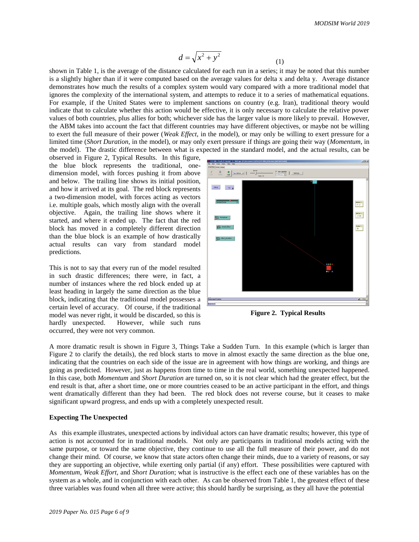$$
d = \sqrt{x^2 + y^2} \tag{1}
$$

shown in Table 1, is the average of the distance calculated for each run in a series; it may be noted that this number is a slightly higher than if it were computed based on the average values for delta x and delta y. Average distance demonstrates how much the results of a complex system would vary compared with a more traditional model that ignores the complexity of the international system, and attempts to reduce it to a series of mathematical equations. For example, if the United States were to implement sanctions on country (e.g. Iran), traditional theory would indicate that to calculate whether this action would be effective, it is only necessary to calculate the relative power values of both countries, plus allies for both; whichever side has the larger value is more likely to prevail. However, the ABM takes into account the fact that different countries may have different objectives, or maybe not be willing to exert the full measure of their power (*Weak Effect*, in the model), or may only be willing to exert pressure for a limited time (*Short Duration*, in the model), or may only exert pressure if things are going their way (*Momentum*, in the model). The drastic difference between what is expected in the standard model, and the actual results, can be

observed in Figure 2, Typical Results. In this figure, the blue block represents the traditional, onedimension model, with forces pushing it from above and below. The trailing line shows its initial position, and how it arrived at its goal. The red block represents a two-dimension model, with forces acting as vectors i.e. multiple goals, which mostly align with the overall objective. Again, the trailing line shows where it started, and where it ended up. The fact that the red block has moved in a completely different direction than the blue block is an example of how drastically actual results can vary from standard model predictions.

This is not to say that every run of the model resulted in such drastic differences; there were, in fact, a number of instances where the red block ended up at least heading in largely the same direction as the blue block, indicating that the traditional model possesses a certain level of accuracy. Of course, if the traditional model was never right, it would be discarded, so this is hardly unexpected. However, while such runs occurred, they were not very common.



**Figure 2. Typical Results**

A more dramatic result is shown in Figure 3, Things Take a Sudden Turn. In this example (which is larger than Figure 2 to clarify the details), the red block starts to move in almost exactly the same direction as the blue one, indicating that the countries on each side of the issue are in agreement with how things are working, and things are going as predicted. However, just as happens from time to time in the real world, something unexpected happened. In this case, both *Momentum* and *Short Duration* are turned on, so it is not clear which had the greater effect, but the end result is that, after a short time, one or more countries ceased to be an active participant in the effort, and things went dramatically different than they had been. The red block does not reverse course, but it ceases to make significant upward progress, and ends up with a completely unexpected result.

### **Expecting The Unexpected**

As this example illustrates, unexpected actions by individual actors can have dramatic results; however, this type of action is not accounted for in traditional models. Not only are participants in traditional models acting with the same purpose, or toward the same objective, they continue to use all the full measure of their power, and do not change their mind. Of course, we know that state actors often change their minds, due to a variety of reasons, or say they are supporting an objective, while exerting only partial (if any) effort. These possibilities were captured with *Momentum, Weak Effort,* and *Short Duration*; what is instructive is the effect each one of these variables has on the system as a whole, and in conjunction with each other. As can be observed from Table 1, the greatest effect of these three variables was found when all three were active; this should hardly be surprising, as they all have the potential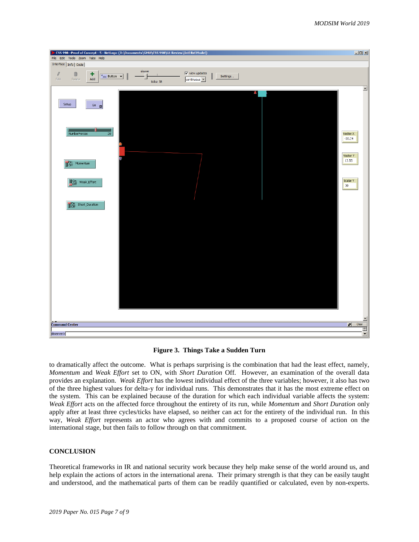

**Figure 3. Things Take a Sudden Turn**

to dramatically affect the outcome. What is perhaps surprising is the combination that had the least effect, namely, *Momentum* and *Weak Effort* set to ON, with *Short Duration* Off. However, an examination of the overall data provides an explanation. *Weak Effort* has the lowest individual effect of the three variables; however, it also has two of the three highest values for delta-y for individual runs. This demonstrates that it has the most extreme effect on the system. This can be explained because of the duration for which each individual variable affects the system: *Weak Effort* acts on the affected force throughout the entirety of its run, while *Momentum* and *Short Duration* only apply after at least three cycles/ticks have elapsed, so neither can act for the entirety of the individual run. In this way, *Weak Effort* represents an actor who agrees with and commits to a proposed course of action on the international stage, but then fails to follow through on that commitment.

### **CONCLUSION**

Theoretical frameworks in IR and national security work because they help make sense of the world around us, and help explain the actions of actors in the international arena. Their primary strength is that they can be easily taught and understood, and the mathematical parts of them can be readily quantified or calculated, even by non-experts.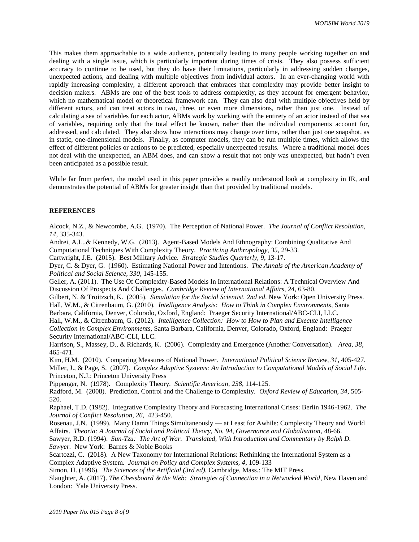This makes them approachable to a wide audience, potentially leading to many people working together on and dealing with a single issue, which is particularly important during times of crisis. They also possess sufficient accuracy to continue to be used, but they do have their limitations, particularly in addressing sudden changes, unexpected actions, and dealing with multiple objectives from individual actors. In an ever-changing world with rapidly increasing complexity, a different approach that embraces that complexity may provide better insight to decision makers. ABMs are one of the best tools to address complexity, as they account for emergent behavior, which no mathematical model or theoretical framework can. They can also deal with multiple objectives held by different actors, and can treat actors in two, three, or even more dimensions, rather than just one. Instead of calculating a sea of variables for each actor, ABMs work by working with the entirety of an actor instead of that sea of variables, requiring only that the total effect be known, rather than the individual components account for, addressed, and calculated. They also show how interactions may change over time, rather than just one snapshot, as in static, one-dimensional models. Finally, as computer models, they can be run multiple times, which allows the effect of different policies or actions to be predicted, especially unexpected results. Where a traditional model does not deal with the unexpected, an ABM does, and can show a result that not only was unexpected, but hadn't even been anticipated as a possible result.

While far from perfect, the model used in this paper provides a readily understood look at complexity in IR, and demonstrates the potential of ABMs for greater insight than that provided by traditional models.

#### **REFERENCES**

Alcock, N.Z., & Newcombe, A.G. (1970). The Perception of National Power. *The Journal of Conflict Resolution, 14*, 335-343.

Andrei, A.L.,& Kennedy, W.G. (2013). Agent-Based Models And Ethnography: Combining Qualitative And Computational Techniques With Complexity Theory. *Practicing Anthropology, 35*, 29-33.

Cartwright, J.E. (2015). Best Military Advice. *Strategic Studies Quarterly, 9*, 13-17.

Dyer, C. & Dyer, G. (1960). Estimating National Power and Intentions. *The Annals of the American Academy of Political and Social Science, 330*, 145-155.

Geller, A. (2011). The Use Of Complexity-Based Models In International Relations: A Technical Overview And Discussion Of Prospects And Challenges. *Cambridge Review of International Affairs, 24*, 63-80.

Gilbert, N. & Troitzsch, K. (2005). *Simulation for the Social Scientist. 2nd ed*. New York: Open University Press. Hall, W.M., & Citrenbaum, G. (2010). *Intelligence Analysis: How to Think in Complex Environments*, Santa

Barbara, California, Denver, Colorado, Oxford, England: Praeger Security International/ABC-CLI, LLC. Hall, W.M., & Citrenbaum, G. (2012). *Intelligence Collection: How to How to Plan and Execute Intelligence* 

*Collection in Complex Environments*, Santa Barbara, California, Denver, Colorado, Oxford, England: Praeger Security International/ABC-CLI, LLC.

Harrison, S., Massey, D., & Richards, K. (2006). Complexity and Emergence (Another Conversation). *Area, 38*, 465-471.

Kim, H.M. (2010). Comparing Measures of National Power. *International Political Science Review, 31*, 405-427. Miller, J., & Page, S. (2007). *Complex Adaptive Systems: An Introduction to Computational Models of Social Life*. Princeton, N.J.: Princeton University Press

Pippenger, N. (1978). Complexity Theory. *Scientific American, 238*, 114-125.

Radford, M. (2008). Prediction, Control and the Challenge to Complexity. *Oxford Review of Education, 34*, 505- 520.

Raphael, T.D. (1982). Integrative Complexity Theory and Forecasting International Crises: Berlin 1946-1962. *The Journal of Conflict Resolution, 26*, 423-450.

Rosenau, J.N. (1999). Many Damn Things Simultaneously — at Least for Awhile: Complexity Theory and World Affairs. *Theoria: A Journal of Social and Political Theory, No. 94, Governance and Globalisation*, 48-66.

Sawyer, R.D. (1994). *Sun-Tzu: The Art of War. Translated, With Introduction and Commentary by Ralph D. Sawyer.* New York: Barnes & Noble Books

Scartozzi, C. (2018). A New Taxonomy for International Relations: Rethinking the International System as a Complex Adaptive System. *Journal on Policy and Complex Systems, 4*, 109-133

Simon, H. (1996). *The Sciences of the Artificial (3rd ed).* Cambridge, Mass.: The MIT Press.

Slaughter, A. (2017). *The Chessboard & the Web: Strategies of Connection in a Networked World*, New Haven and London: Yale University Press.